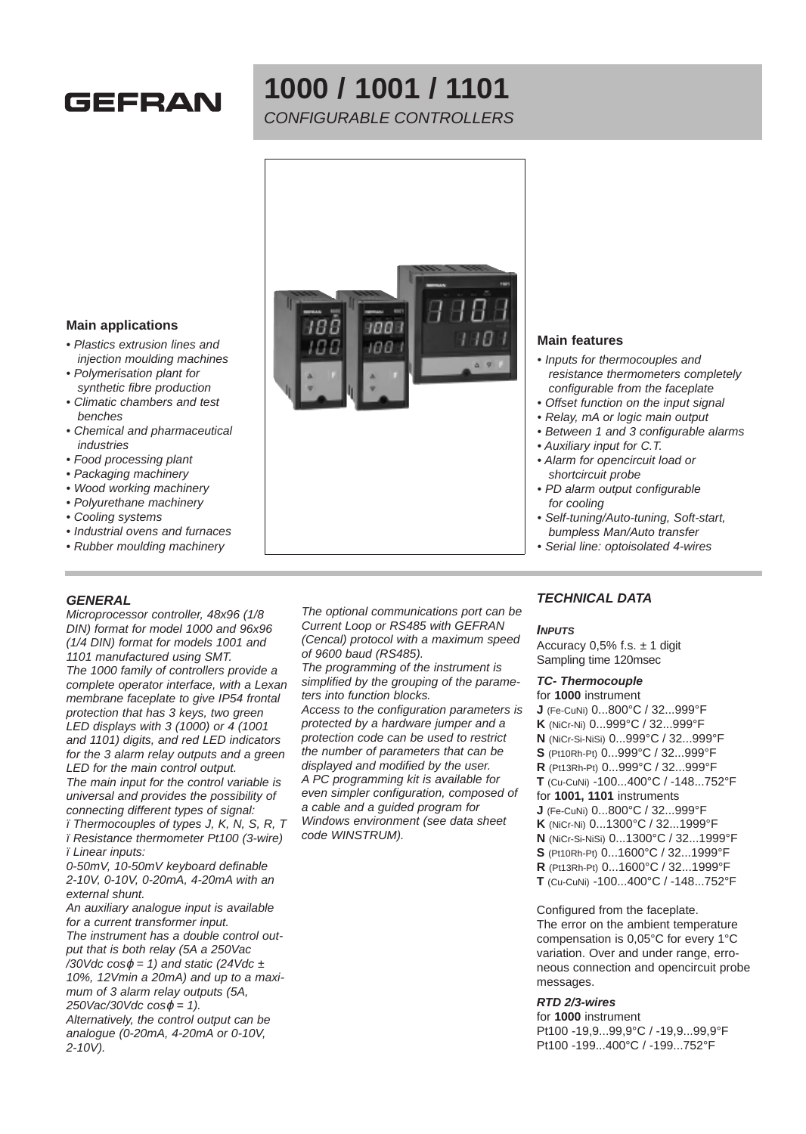# **GEFRAN**

# **1000 / 1001 / 1101** CONFIGURABLE CONTROLLERS



#### **Main applications**

- Plastics extrusion lines and injection moulding machines
- Polymerisation plant for synthetic fibre production
- Climatic chambers and test benches
- Chemical and pharmaceutical industries
- Food processing plant
- Packaging machinery
- Wood working machinery
- Polyurethane machinery
- Cooling systems
- Industrial ovens and furnaces • Rubber moulding machinery

### **GENERAL**

Microprocessor controller, 48x96 (1/8 DIN) format for model 1000 and 96x96 (1/4 DIN) format for models 1001 and 1101 manufactured using SMT. The 1000 family of controllers provide a complete operator interface, with a Lexan membrane faceplate to give IP54 frontal protection that has 3 keys, two green LED displays with 3 (1000) or 4 (1001 and 1101) digits, and red LED indicators for the 3 alarm relay outputs and a green LED for the main control output. The main input for the control variable is universal and provides the possibility of connecting different types of signal:

ï Thermocouples of types J, K, N, S, R, T ï Resistance thermometer Pt100 (3-wire) ï Linear inputs:

0-50mV, 10-50mV keyboard definable 2-10V, 0-10V, 0-20mA, 4-20mA with an external shunt.

An auxiliary analogue input is available for a current transformer input. The instrument has a double control output that is both relay (5A a 250Vac /30Vdc cos $\varphi$  = 1) and static (24Vdc  $\pm$ 10%, 12Vmin a 20mA) and up to a maximum of 3 alarm relay outputs (5A,  $250\text{Vac}/30\text{Vdc} \cos\varphi = 1$ . Alternatively, the control output can be analogue (0-20mA, 4-20mA or 0-10V, 2-10V).

The optional communications port can be Current Loop or RS485 with GEFRAN (Cencal) protocol with a maximum speed of 9600 baud (RS485).

The programming of the instrument is simplified by the grouping of the parameters into function blocks.

Access to the configuration parameters is protected by a hardware jumper and a protection code can be used to restrict the number of parameters that can be displayed and modified by the user. A PC programming kit is available for even simpler configuration, composed of a cable and a guided program for Windows environment (see data sheet code WINSTRUM).

#### **Main features**

- Inputs for thermocouples and resistance thermometers completely configurable from the faceplate
- Offset function on the input signal
- Relay, mA or logic main output
- Between 1 and 3 configurable alarms
- Auxiliary input for C.T.
- Alarm for opencircuit load or shortcircuit probe
- PD alarm output configurable for cooling
- Self-tuning/Auto-tuning, Soft-start, bumpless Man/Auto transfer
- Serial line: optoisolated 4-wires

### **TECHNICAL DATA**

#### **INPUTS**

Accuracy  $0,5\%$  f.s.  $\pm$  1 digit Sampling time 120msec

#### **TC- Thermocouple**

for **1000** instrument **J** (Fe-CuNi) 0...800°C / 32...999°F **K** (NiCr-Ni) 0...999°C / 32...999°F **N** (NiCr-Si-NiSi) 0...999°C / 32...999°F **S** (Pt10Rh-Pt) 0...999°C / 32...999°F **R** (Pt13Rh-Pt) 0...999°C / 32...999°F **T** (Cu-CuNi) -100...400°C / -148...752°F for **1001, 1101** instruments **J** (Fe-CuNi) 0...800°C / 32...999°F **K** (NiCr-Ni) 0...1300°C / 32...1999°F **N** (NiCr-Si-NiSi) 0...1300°C / 32...1999°F **S** (Pt10Rh-Pt) 0...1600°C / 32...1999°F **R** (Pt13Rh-Pt) 0...1600°C / 32...1999°F **T** (Cu-CuNi) -100...400°C / -148...752°F

Configured from the faceplate. The error on the ambient temperature compensation is 0,05°C for every 1°C variation. Over and under range, erroneous connection and opencircuit probe messages.

#### **RTD 2/3-wires**

for **1000** instrument Pt100 -19,9...99,9°C / -19,9...99,9°F Pt100 -199...400°C / -199...752°F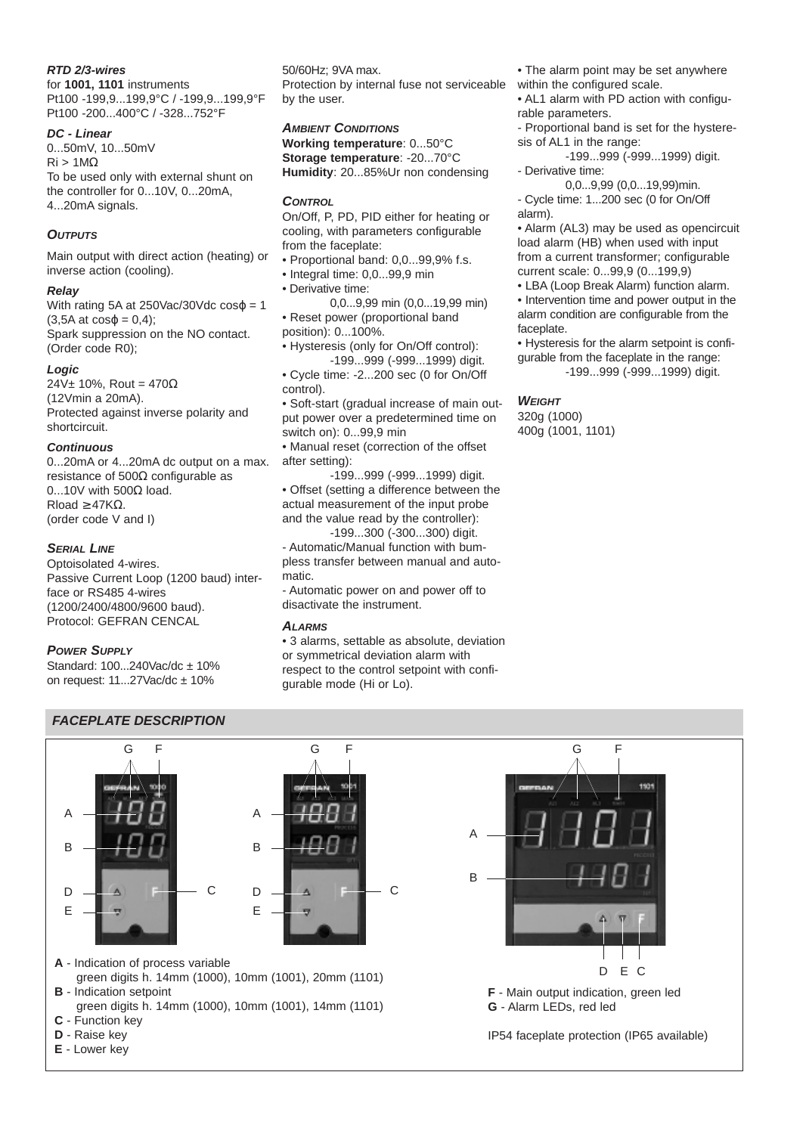#### **RTD 2/3-wires**

for **1001, 1101** instruments Pt100 -199,9...199,9°C / -199,9...199,9°F Pt100 -200...400°C / -328...752°F

#### **DC - Linear**

0...50mV, 10...50mV  $\text{Ri} > 1 \text{M}\Omega$ To be used only with external shunt on the controller for 0...10V, 0...20mA, 4...20mA signals.

# **OUTPUTS**

Main output with direct action (heating) or inverse action (cooling).

### **Relay**

With rating 5A at 250Vac/30Vdc  $cos\phi = 1$  $(3,5A \text{ at } \cos\varphi = 0,4);$ Spark suppression on the NO contact. (Order code R0);

### **Logic**

 $24V± 10%$ , Rout = 470 $\Omega$ (12Vmin a 20mA). Protected against inverse polarity and shortcircuit.

### **Continuous**

0...20mA or 4...20mA dc output on a max. resistance of 500Ω configurable as 0...10V with 500Ω load. Rload  $\geq$  47K $\Omega$ . (order code V and I)

### **SERIAL LINE**

Optoisolated 4-wires. Passive Current Loop (1200 baud) interface or RS485 4-wires (1200/2400/4800/9600 baud). Protocol: GEFRAN CENCAL

### **POWER SUPPLY**

Standard: 100...240Vac/dc ± 10% on request:  $11...27$ Vac/dc  $\pm 10$ %

50/60Hz; 9VA max. Protection by internal fuse not serviceable by the user.

#### **AMBIENT CONDITIONS**

**Working temperature**: 0...50°C **Storage temperature**: -20...70°C **Humidity**: 20...85%Ur non condensing

#### **CONTROL**

On/Off, P, PD, PID either for heating or cooling, with parameters configurable from the faceplate:

- Proportional band: 0,0...99,9% f.s.
- Integral time: 0,0...99,9 min
- Derivative time:

0,0...9,99 min (0,0...19,99 min) • Reset power (proportional band position): 0...100%.

• Hysteresis (only for On/Off control): -199...999 (-999...1999) digit.

• Cycle time: -2...200 sec (0 for On/Off control).

• Soft-start (gradual increase of main output power over a predetermined time on switch on): 0...99,9 min

• Manual reset (correction of the offset after setting):

-199...999 (-999...1999) digit. • Offset (setting a difference between the actual measurement of the input probe and the value read by the controller):

-199...300 (-300...300) digit. - Automatic/Manual function with bumpless transfer between manual and automatic.

- Automatic power on and power off to disactivate the instrument.

### **ALARMS**

• 3 alarms, settable as absolute, deviation or symmetrical deviation alarm with respect to the control setpoint with configurable mode (Hi or Lo).

• The alarm point may be set anywhere within the configured scale.

• AL1 alarm with PD action with configurable parameters.

- Proportional band is set for the hysteresis of AL1 in the range:

-199...999 (-999...1999) digit.

- Derivative time:

0,0...9,99 (0,0...19,99)min. - Cycle time: 1...200 sec (0 for On/Off alarm).

• Alarm (AL3) may be used as opencircuit load alarm (HB) when used with input from a current transformer; configurable current scale: 0...99,9 (0...199,9)

• LBA (Loop Break Alarm) function alarm.

• Intervention time and power output in the alarm condition are configurable from the faceplate.

• Hysteresis for the alarm setpoint is configurable from the faceplate in the range: -199...999 (-999...1999) digit.

### **WEIGHT**

320g (1000) 400g (1001, 1101)

# **FACEPLATE DESCRIPTION**

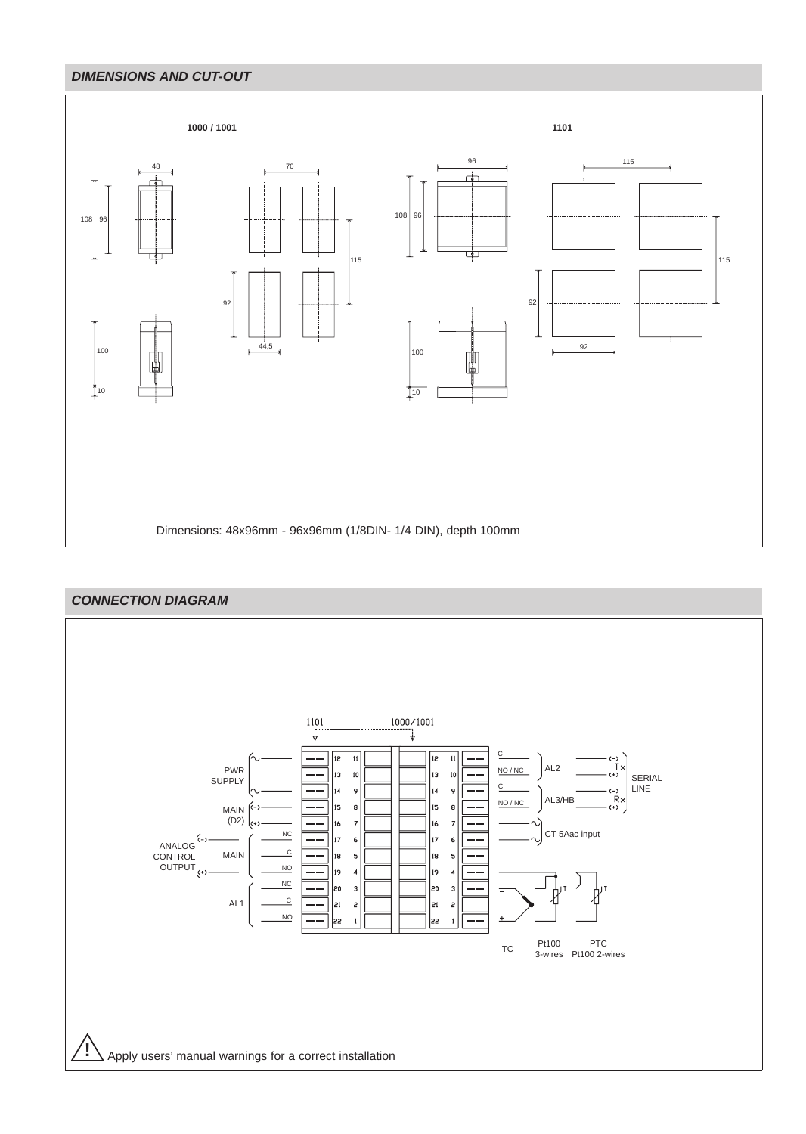## **DIMENSIONS AND CUT-OUT**